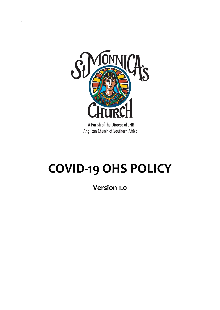

-

A Parish of the Diocese of JHB Anglican Church of Southern Africa

# **COVID-19 OHS POLICY**

**Version 1.0**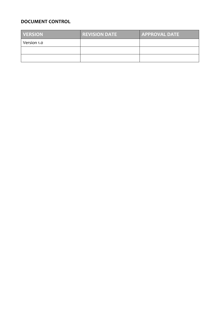### **DOCUMENT CONTROL**

| <b>VERSION</b> | <b>REVISION DATE</b> | <b>APPROVAL DATE</b> |
|----------------|----------------------|----------------------|
| Version 1.0    |                      |                      |
|                |                      |                      |
|                |                      |                      |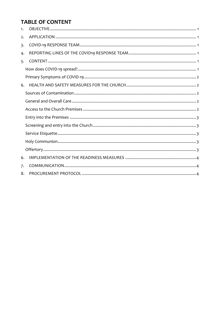# **TABLE OF CONTENT**

| 1. |  |
|----|--|
| 2. |  |
| 3. |  |
| 4. |  |
| 5. |  |
|    |  |
|    |  |
| 6. |  |
|    |  |
|    |  |
|    |  |
|    |  |
|    |  |
|    |  |
|    |  |
|    |  |
| 6. |  |
| 7. |  |
| 8. |  |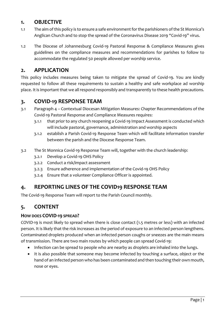## <span id="page-3-0"></span>**1. OBJECTIVE**

- 1.1 The aim of this policy is to ensure a safe environment for the parishioners of the St Monnica's Anglican Church and to stop the spread of the Coronavirus Disease 2019 "Covid-19" virus.
- 1.2 The Diocese of Johannesburg Covid-19 Pastoral Response & Compliance Measures gives guidelines on the compliance measures and recommendations for parishes to follow to accommodate the regulated 50 people allowed per worship service.

# <span id="page-3-1"></span>**2. APPLICATION**

This policy includes measures being taken to mitigate the spread of Covid-19. You are kindly requested to follow all these requirements to sustain a healthy and safe workplace ad worship place. It is important that we all respond responsibly and transparently to these health precautions.

# <span id="page-3-2"></span>**3. COVID-19 RESPONSE TEAM**

- 3.1 Paragraph 4 Contextual Diocesan Mitigation Measures: Chapter Recommendations of the Covid-19 Pastoral Response and Compliance Measures requires:
	- 3.1.1 that prior to any church reopening a Covid-19 Impact Assessment is conducted which will include pastoral, governance, administration and worship aspects
	- 3.1.2 establish a Parish Covid-19 Response Team which will facilitate information transfer between the parish and the Diocese Response Team.
- 3.2 The St Monnica Covid-19 Response Team will, together with the church leadership:
	- 3.2.1 Develop a Covid-19 OHS Policy
	- 3.2.2 Conduct a risk/impact assessment
	- 3.2.3 Ensure adherence and implementation of the Covid-19 OHS Policy
	- 3.2.4 Ensure that a volunteer Compliance Officer is appointed.

# <span id="page-3-3"></span>**4. REPORTING LINES OF THE COVID19 RESPONSE TEAM**

The Covid-19 Response Team will report to the Parish Council monthly.

# <span id="page-3-4"></span>**5. CONTENT**

#### <span id="page-3-5"></span>**HOW DOES COVID-19 SPREAD?**

COVID-19 is most likely to spread when there is close contact (1.5 metres or less) with an infected person. It is likely that the risk increases as the period of exposure to an infected person lengthens. Contaminated droplets produced when an infected person coughs or sneezes are the main means of transmission. There are two main routes by which people can spread Covid-19:

- Infection can be spread to people who are nearby as droplets are inhaled into the lungs.
- It is also possible that someone may become infected by touching a surface, object or the hand of an infected person who has been contaminated and then touching their own mouth, nose or eyes.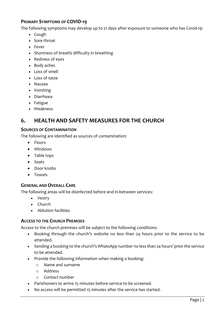#### <span id="page-4-0"></span>**PRIMARY SYMPTOMS OF COVID-19**

The following symptoms may develop up to 21 days after exposure to someone who has Covid-19:

- Cough
- Sore throat
- Fever
- Shortness of breath/ difficulty in breathing
- Redness of eyes
- Body aches
- Loss of smell
- $\cdot$  Loss of taste
- Nausea
- Vomiting
- Diarrhoea
- Fatigue
- Weakness

## <span id="page-4-1"></span>**6. HEALTH AND SAFETY MEASURES FOR THE CHURCH**

#### <span id="page-4-2"></span>**SOURCES OF CONTAMINATION**

The following are identified as sources of contamination:

- Floors
- Windows
- Table tops
- Seats
- Door knobs
- Towels

#### <span id="page-4-3"></span>**GENERAL AND OVERALL CARE**

The following areas will be disinfected before and in-between services:

- Vestry
- $\bullet$  Church
- Ablution facilities

#### <span id="page-4-4"></span>**ACCESS TO THE CHURCH PREMISES**

Access to the church premises will be subject to the following conditions:

- Booking through the church's website no less than 24 hours prior to the service to be attended.
- Sending a booking to the church's WhatsApp number no less than 24 hours' prior the service to be attended.
- Provide the following information when making a booking:
	- o Name and surname
	- o Address
	- o Contact number
- Parishioners to arrive 15 minutes before service to be screened.
- No access will be permitted 15 minutes after the service has started.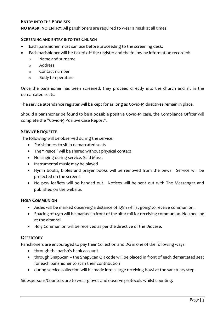#### <span id="page-5-0"></span>**ENTRY INTO THE PREMISES**

**NO MASK, NO ENTRY!** All parishioners are required to wear a mask at all times.

#### <span id="page-5-1"></span>**SCREENING AND ENTRY INTO THE CHURCH**

- Each parishioner must sanitise before proceeding to the screening desk.
- Each parishioner will be ticked off the register and the following information recorded:
	- o Name and surname
	- o Address
	- o Contact number
	- o Body temperature

Once the parishioner has been screened, they proceed directly into the church and sit in the demarcated seats.

The service attendance register will be kept for as long as Covid-19 directives remain in place.

Should a parishioner be found to be a possible positive Covid-19 case, the Compliance Officer will complete the "Covid-19 Positive Case Report".

#### <span id="page-5-2"></span>**SERVICE ETIQUETTE**

The following will be observed during the service:

- Parishioners to sit in demarcated seats
- The "Peace" will be shared without physical contact
- No singing during service. Said Mass.
- Instrumental music may be played
- Hymn books, bibles and prayer books will be removed from the pews. Service will be projected on the screens.
- No pew leaflets will be handed out. Notices will be sent out with The Messenger and published on the website.

#### <span id="page-5-3"></span>**HOLY COMMUNION**

- Aisles will be marked observing a distance of 1.5m whilst going to receive communion.
- Spacing of 1.5m will be marked in front of the altar rail for receiving communion. No kneeling at the altar rail.
- Holy Communion will be received as per the directive of the Diocese.

#### <span id="page-5-4"></span>**OFFERTORY**

Parishioners are encouraged to pay their Collection and DG in one of the following ways:

- through the parish's bank account
- through SnapScan the SnapScan QR code will be placed in front of each demarcated seat for each parishioner to scan their contribution
- during service collection will be made into a large receiving bowl at the sanctuary step

Sidespersons/Counters are to wear gloves and observe protocols whilst counting.